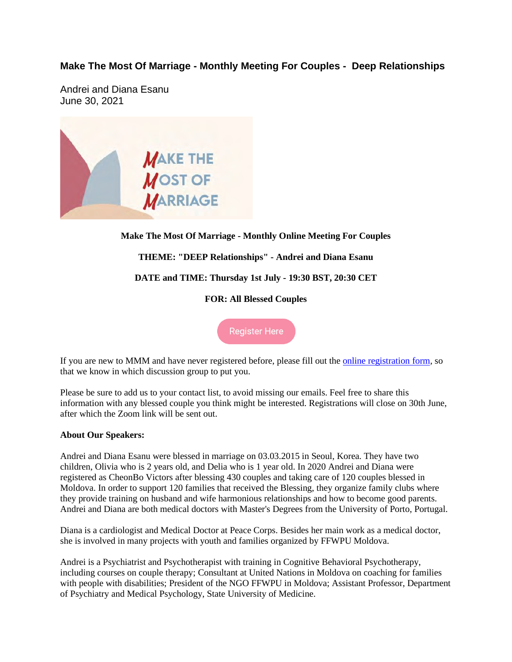## **Make The Most Of Marriage - Monthly Meeting For Couples - Deep Relationships**

Andrei and Diana Esanu June 30, 2021



## **Make The Most Of Marriage - Monthly Online Meeting For Couples THEME: "DEEP Relationships" - Andrei and Diana Esanu DATE and TIME: Thursday 1st July - 19:30 BST, 20:30 CET FOR: All Blessed Couples**

**Register Here** 

If you are new to MMM and have never registered before, please fill out the online registration form, so that we know in which discussion group to put you.

Please be sure to add us to your contact list, to avoid missing our emails. Feel free to share this information with any blessed couple you think might be interested. Registrations will close on 30th June, after which the Zoom link will be sent out.

## **About Our Speakers:**

Andrei and Diana Esanu were blessed in marriage on 03.03.2015 in Seoul, Korea. They have two children, Olivia who is 2 years old, and Delia who is 1 year old. In 2020 Andrei and Diana were registered as CheonBo Victors after blessing 430 couples and taking care of 120 couples blessed in Moldova. In order to support 120 families that received the Blessing, they organize family clubs where they provide training on husband and wife harmonious relationships and how to become good parents. Andrei and Diana are both medical doctors with Master's Degrees from the University of Porto, Portugal.

Diana is a cardiologist and Medical Doctor at Peace Corps. Besides her main work as a medical doctor, she is involved in many projects with youth and families organized by FFWPU Moldova.

Andrei is a Psychiatrist and Psychotherapist with training in Cognitive Behavioral Psychotherapy, including courses on couple therapy; Consultant at United Nations in Moldova on coaching for families with people with disabilities; President of the NGO FFWPU in Moldova; Assistant Professor, Department of Psychiatry and Medical Psychology, State University of Medicine.